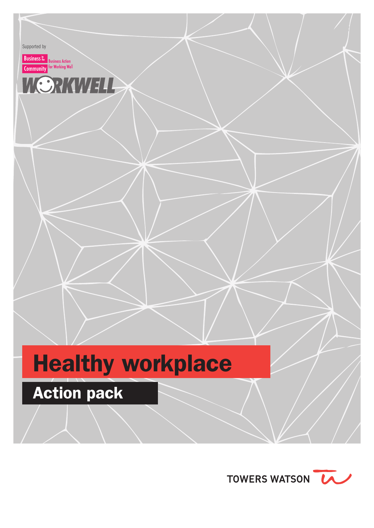Supported by

**Business** the Business Action<br>**Community** for Working Well



# Healthy workplace

## **Action pack**

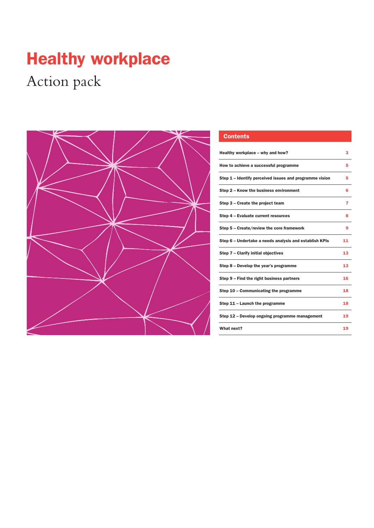## Healthy workplace

## Action pack



#### **Contents**

| Healthy workplace – why and how?                        | з  |
|---------------------------------------------------------|----|
| How to achieve a successful programme                   | 5  |
| Step 1 – Identify perceived issues and programme vision | 5  |
| Step 2 – Know the business environment                  | 6  |
| Step 3 – Create the project team                        | 7  |
| Step 4 - Evaluate current resources                     | 8  |
| Step 5 - Create/review the core framework               | 9  |
| Step 6 – Undertake a needs analysis and establish KPIs  | 11 |
| Step 7 - Clarify initial objectives                     | 13 |
| Step 8 – Develop the year's programme                   | 13 |
| Step 9 – Find the right business partners               | 16 |
| Step 10 – Communicating the programme                   | 18 |
| Step 11 – Launch the programme                          | 18 |
| Step 12 - Develop ongoing programme management          | 19 |
| What next?                                              | 19 |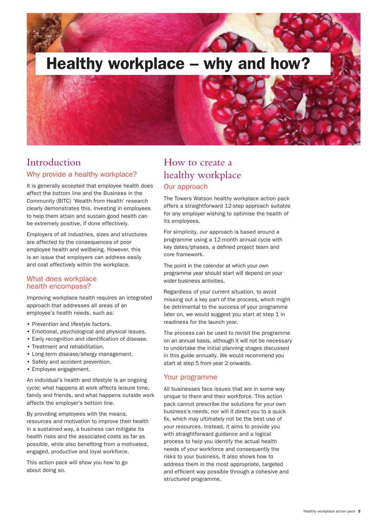

## Introduction

#### Why provide a healthy workplace?

It is generally accepted that employee health does affect the bottom line and the Business in the Community (BITC) 'Wealth from Health' research clearly demonstrates this. Investing in employees to help them attain and sustain good health can be extremely positive, if done effectively.

Employers of all industries, sizes and structures are affected by the consequences of poor employee health and wellbeing. However, this is an issue that employers can address easily and cost effectively within the workplace.

#### What does workplace health encompass?

Improving workplace health requires an integrated approach that addresses all areas of an employee's health needs, such as:

- Prevention and lifestyle factors.
- Emotional, psychological and physical issues.
- Early recognition and identification of disease.
- Treatment and rehabilitation.
- Long-term disease/allergy management.
- Safety and accident prevention.
- Employee engagement.

An individual's health and lifestyle is an ongoing cycle; what happens at work affects leisure time, family and friends, and what happens outside work affects the employer's bottom line.

By providing employees with the means, resources and motivation to improve their health in a sustained way, a business can mitigate its health risks and the associated costs as far as possible, while also benefiting from a motivated, engaged, productive and loyal workforce.

This action pack will show you how to go about doing so.

## How to create a healthy workplace Our approach

The Towers Watson healthy workplace action pack offers a straightforward 12-step approach suitable for any employer wishing to optimise the health of its employees.

For simplicity, our approach is based around a programme using a 12-month annual cycle with key dates/phases, a defined project team and core framework.

The point in the calendar at which your own programme year should start will depend on your wider business activities.

Regardless of your current situation, to avoid missing out a key part of the process, which might be detrimental to the success of your programme later on, we would suggest you start at step 1 in readiness for the launch year.

The process can be used to revisit the programme on an annual basis, although it will not be necessary to undertake the initial planning stages discussed in this guide annually. We would recommend you start at step 5 from year 2 onwards.

#### Your programme

All businesses face issues that are in some way unique to them and their workforce. This action pack cannot prescribe the solutions for your own business's needs, nor will it direct you to a quick fix, which may ultimately not be the best use of your resources. Instead, it aims to provide you with straightforward guidance and a logical process to help you identify the actual health needs of your workforce and consequently the risks to your business. It also shows how to address them in the most appropriate, targeted and efficient way possible through a cohesive and structured programme.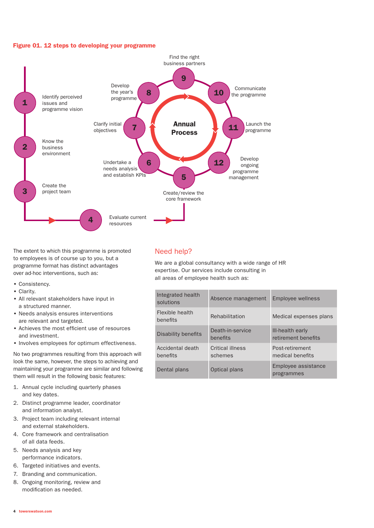#### Figure 01. 12 steps to developing your programme



The extent to which this programme is promoted to employees is of course up to you, but a programme format has distinct advantages over ad-hoc interventions, such as:

- Consistency.
- Clarity.
- All relevant stakeholders have input in a structured manner.
- Needs analysis ensures interventions are relevant and targeted.
- Achieves the most efficient use of resources and investment.
- Involves employees for optimum effectiveness.

No two programmes resulting from this approach will look the same, however, the steps to achieving and maintaining your programme are similar and following them will result in the following basic features:

- 1. Annual cycle including quarterly phases and key dates.
- 2. Distinct programme leader, coordinator and information analyst.
- 3. Project team including relevant internal and external stakeholders.
- 4. Core framework and centralisation of all data feeds.
- 5. Needs analysis and key performance indicators.
- 6. Targeted initiatives and events.
- 7. Branding and communication.
- 8. Ongoing monitoring, review and modification as needed.

#### Need help?

We are a global consultancy with a wide range of HR expertise. Our services include consulting in all areas of employee health such as:

| Integrated health<br>solutions | Absence management           | <b>Employee wellness</b>                |
|--------------------------------|------------------------------|-----------------------------------------|
| Flexible health<br>benefits    | Rehabilitation               | Medical expenses plans                  |
| Disability benefits            | Death-in-service<br>henefits | III-health early<br>retirement benefits |
| Accidental death<br>benefits   | Critical illness<br>schemes  | Post-retirement<br>medical benefits     |
| Dental plans                   | Optical plans                | Employee assistance<br>programmes       |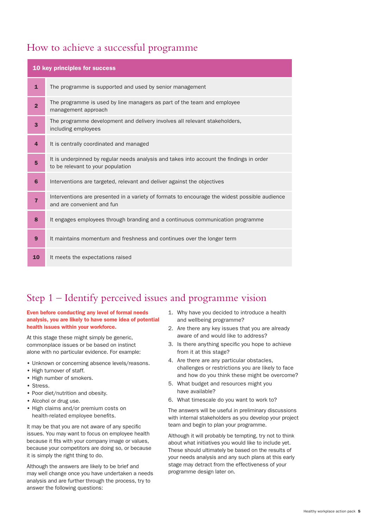## How to achieve a successful programme

| 10 key principles for success |                                                                                                                               |  |
|-------------------------------|-------------------------------------------------------------------------------------------------------------------------------|--|
| $\mathbf{1}$                  | The programme is supported and used by senior management                                                                      |  |
| $\overline{2}$                | The programme is used by line managers as part of the team and employee<br>management approach                                |  |
| 3                             | The programme development and delivery involves all relevant stakeholders,<br>including employees                             |  |
| $\overline{4}$                | It is centrally coordinated and managed                                                                                       |  |
| 5                             | It is underpinned by regular needs analysis and takes into account the findings in order<br>to be relevant to your population |  |
| 6                             | Interventions are targeted, relevant and deliver against the objectives                                                       |  |
| $\overline{7}$                | Interventions are presented in a variety of formats to encourage the widest possible audience<br>and are convenient and fun   |  |
| 8                             | It engages employees through branding and a continuous communication programme                                                |  |
| 9                             | It maintains momentum and freshness and continues over the longer term                                                        |  |
| 10                            | It meets the expectations raised                                                                                              |  |

## Step 1 – Identify perceived issues and programme vision

#### Even before conducting any level of formal needs analysis, you are likely to have some idea of potential health issues within your workforce.

At this stage these might simply be generic, commonplace issues or be based on instinct alone with no particular evidence. For example:

- Unknown or concerning absence levels/reasons.
- High turnover of staff.
- High number of smokers.
- Stress.
- Poor diet/nutrition and obesity.
- Alcohol or drug use.
- High claims and/or premium costs on health-related employee benefits.

It may be that you are not aware of any specific issues. You may want to focus on employee health because it fits with your company image or values, because your competitors are doing so, or because it is simply the right thing to do.

Although the answers are likely to be brief and may well change once you have undertaken a needs analysis and are further through the process, try to answer the following questions:

- 1. Why have you decided to introduce a health and wellbeing programme?
- 2. Are there any key issues that you are already aware of and would like to address?
- 3. Is there anything specific you hope to achieve from it at this stage?
- 4. Are there are any particular obstacles, challenges or restrictions you are likely to face and how do you think these might be overcome?
- 5. What budget and resources might you have available?
- 6. What timescale do you want to work to?

The answers will be useful in preliminary discussions with internal stakeholders as you develop your project team and begin to plan your programme.

Although it will probably be tempting, try not to think about what initiatives you would like to include yet. These should ultimately be based on the results of your needs analysis and any such plans at this early stage may detract from the effectiveness of your programme design later on.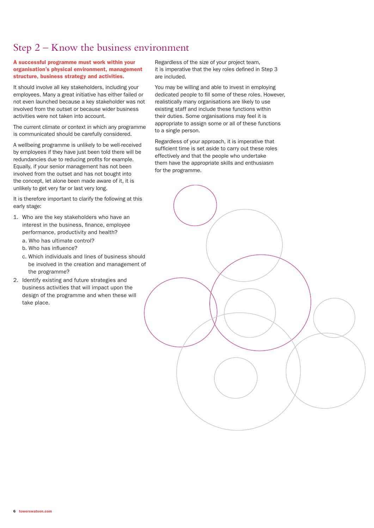## Step 2 – Know the business environment

#### A successful programme must work within your organisation's physical environment, management structure, business strategy and activities.

It should involve all key stakeholders, including your employees. Many a great initiative has either failed or not even launched because a key stakeholder was not involved from the outset or because wider business activities were not taken into account.

The current climate or context in which any programme is communicated should be carefully considered.

A wellbeing programme is unlikely to be well-received by employees if they have just been told there will be redundancies due to reducing profits for example. Equally, if your senior management has not been involved from the outset and has not bought into the concept, let alone been made aware of it, it is unlikely to get very far or last very long.

It is therefore important to clarify the following at this early stage:

- 1. Who are the key stakeholders who have an interest in the business, finance, employee performance, productivity and health?
	- a. Who has ultimate control?
	- b. Who has influence?
	- c. Which individuals and lines of business should be involved in the creation and management of the programme?
- 2. Identify existing and future strategies and business activities that will impact upon the design of the programme and when these will take place.

Regardless of the size of your project team, it is imperative that the key roles defined in Step 3 are included.

You may be willing and able to invest in employing dedicated people to fill some of these roles. However, realistically many organisations are likely to use existing staff and include these functions within their duties. Some organisations may feel it is appropriate to assign some or all of these functions to a single person.

Regardless of your approach, it is imperative that sufficient time is set aside to carry out these roles effectively and that the people who undertake them have the appropriate skills and enthusiasm for the programme.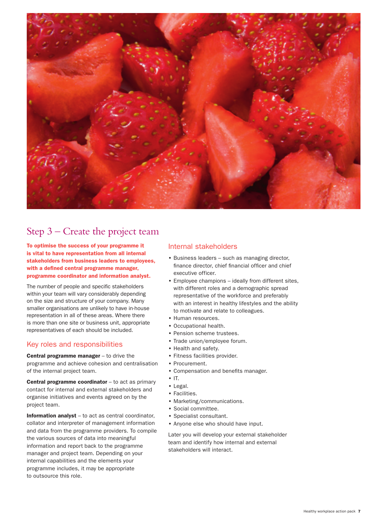

## Step 3 – Create the project team

To optimise the success of your programme it is vital to have representation from all internal stakeholders from business leaders to employees, with a defined central programme manager, programme coordinator and information analyst.

The number of people and specific stakeholders within your team will vary considerably depending on the size and structure of your company. Many smaller organisations are unlikely to have in-house representation in all of these areas. Where there is more than one site or business unit, appropriate representatives of each should be included.

#### Key roles and responsibilities

Central programme manager - to drive the programme and achieve cohesion and centralisation of the internal project team.

Central programme coordinator – to act as primary contact for internal and external stakeholders and organise initiatives and events agreed on by the project team.

Information analyst – to act as central coordinator, collator and interpreter of management information and data from the programme providers. To compile the various sources of data into meaningful information and report back to the programme manager and project team. Depending on your internal capabilities and the elements your programme includes, it may be appropriate to outsource this role.

#### Internal stakeholders

- Business leaders such as managing director, finance director, chief financial officer and chief executive officer.
- Employee champions ideally from different sites, with different roles and a demographic spread representative of the workforce and preferably with an interest in healthy lifestyles and the ability to motivate and relate to colleagues.
- Human resources.
- Occupational health.
- Pension scheme trustees.
- Trade union/employee forum.
- Health and safety.
- Fitness facilities provider.
- Procurement.
- Compensation and benefits manager.
- IT.
- Legal.
- Facilities.
- Marketing/communications.
- Social committee.
- Specialist consultant.
- Anyone else who should have input.

Later you will develop your external stakeholder team and identify how internal and external stakeholders will interact.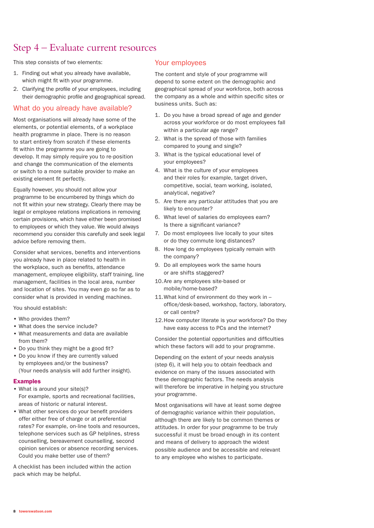## Step 4 – Evaluate current resources

This step consists of two elements:

- 1. Finding out what you already have available, which might fit with your programme.
- 2. Clarifying the profile of your employees, including their demographic profile and geographical spread.

#### What do you already have available?

Most organisations will already have some of the elements, or potential elements, of a workplace health programme in place. There is no reason to start entirely from scratch if these elements fit within the programme you are going to develop. It may simply require you to re-position and change the communication of the elements or switch to a more suitable provider to make an existing element fit perfectly.

Equally however, you should not allow your programme to be encumbered by things which do not fit within your new strategy. Clearly there may be legal or employee relations implications in removing certain provisions, which have either been promised to employees or which they value. We would always recommend you consider this carefully and seek legal advice before removing them.

Consider what services, benefits and interventions you already have in place related to health in the workplace, such as benefits, attendance management, employee eligibility, staff training, line management, facilities in the local area, number and location of sites. You may even go so far as to consider what is provided in vending machines.

You should establish:

- Who provides them?
- What does the service include?
- What measurements and data are available from them?
- Do you think they might be a good fit?
- Do you know if they are currently valued by employees and/or the business? (Your needs analysis will add further insight).

#### Examples

- What is around your site(s)? For example, sports and recreational facilities, areas of historic or natural interest.
- What other services do your benefit providers offer either free of charge or at preferential rates? For example, on-line tools and resources, telephone services such as GP helplines, stress counselling, bereavement counselling, second opinion services or absence recording services. Could you make better use of them?

A checklist has been included within the action pack which may be helpful.

#### Your employees

The content and style of your programme will depend to some extent on the demographic and geographical spread of your workforce, both across the company as a whole and within specific sites or business units. Such as:

- 1. Do you have a broad spread of age and gender across your workforce or do most employees fall within a particular age range?
- 2. What is the spread of those with families compared to young and single?
- 3. What is the typical educational level of your employees?
- 4. What is the culture of your employees and their roles for example, target driven, competitive, social, team working, isolated, analytical, negative?
- 5. Are there any particular attitudes that you are likely to encounter?
- 6. What level of salaries do employees earn? Is there a significant variance?
- 7. Do most employees live locally to your sites or do they commute long distances?
- 8. How long do employees typically remain with the company?
- 9. Do all employees work the same hours or are shifts staggered?
- 10.Are any employees site-based or mobile/home-based?
- 11.What kind of environment do they work in office/desk-based, workshop, factory, laboratory, or call centre?
- 12.How computer literate is your workforce? Do they have easy access to PCs and the internet?

Consider the potential opportunities and difficulties which these factors will add to your programme.

Depending on the extent of your needs analysis (step 6), it will help you to obtain feedback and evidence on many of the issues associated with these demographic factors. The needs analysis will therefore be imperative in helping you structure your programme.

Most organisations will have at least some degree of demographic variance within their population, although there are likely to be common themes or attitudes. In order for your programme to be truly successful it must be broad enough in its content and means of delivery to approach the widest possible audience and be accessible and relevant to any employee who wishes to participate.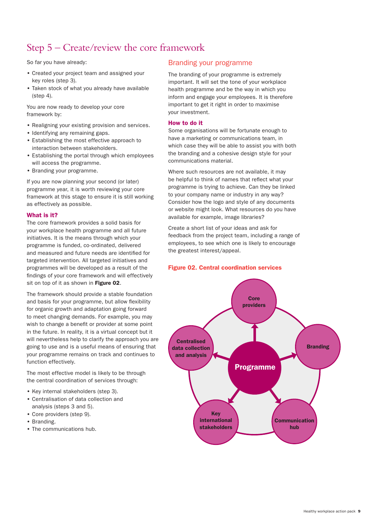## Step 5 – Create/review the core framework

So far you have already:

- Created your project team and assigned your key roles (step 3).
- Taken stock of what you already have available (step 4).

You are now ready to develop your core framework by:

- Realigning your existing provision and services.
- Identifying any remaining gaps.
- Establishing the most effective approach to interaction between stakeholders.
- Establishing the portal through which employees will access the programme.
- Branding your programme.

If you are now planning your second (or later) programme year, it is worth reviewing your core framework at this stage to ensure it is still working as effectively as possible.

#### What is it?

The core framework provides a solid basis for your workplace health programme and all future initiatives. It is the means through which your programme is funded, co-ordinated, delivered and measured and future needs are identified for targeted intervention. All targeted initiatives and programmes will be developed as a result of the findings of your core framework and will effectively sit on top of it as shown in Figure 02.

The framework should provide a stable foundation and basis for your programme, but allow flexibility for organic growth and adaptation going forward to meet changing demands. For example, you may wish to change a benefit or provider at some point in the future. In reality, it is a virtual concept but it will nevertheless help to clarify the approach you are going to use and is a useful means of ensuring that your programme remains on track and continues to function effectively.

The most effective model is likely to be through the central coordination of services through:

- Key internal stakeholders (step 3).
- Centralisation of data collection and analysis (steps 3 and 5).
- Core providers (step 9).
- Branding.
- The communications hub.

#### Branding your programme

The branding of your programme is extremely important. It will set the tone of your workplace health programme and be the way in which you inform and engage your employees. It is therefore important to get it right in order to maximise your investment.

#### How to do it

Some organisations will be fortunate enough to have a marketing or communications team, in which case they will be able to assist you with both the branding and a cohesive design style for your communications material.

Where such resources are not available, it may be helpful to think of names that reflect what your programme is trying to achieve. Can they be linked to your company name or industry in any way? Consider how the logo and style of any documents or website might look. What resources do you have available for example, image libraries?

Create a short list of your ideas and ask for feedback from the project team, including a range of employees, to see which one is likely to encourage the greatest interest/appeal.

#### Figure 02. Central coordination services

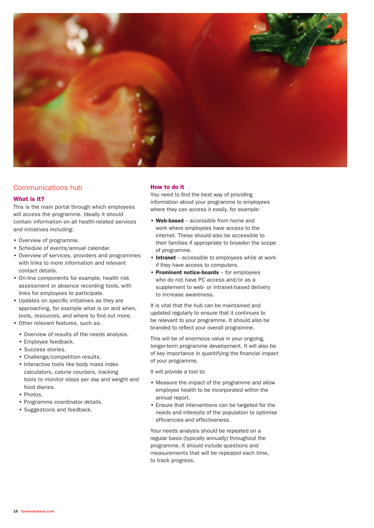

#### Communications hub

#### What is it?

This is the main portal through which employees will access the programme. Ideally it should contain information on all health-related services and initiatives including:

- Overview of programme.
- Schedule of events/annual calendar.
- Overview of services, providers and programmes with links to more information and relevant contact details.
- On-line components for example, health risk assessment or absence recording tools, with links for employees to participate.
- Updates on specific initiatives as they are approaching, for example what is on and when, tools, resources, and where to find out more.
- Other relevant features, such as:
	- Overview of results of the needs analysis.
	- Employee feedback.
	- Success stories.
	- Challenge/competition results.
	- Interactive tools like body mass index calculators, calorie counters, tracking tools to monitor steps per day and weight and food diaries.
	- Photos.
	- Programme coordinator details.
	- Suggestions and feedback.

#### How to do it

You need to find the best way of providing information about your programme to employees where they can access it easily, for example:

- Web-based accessible from home and work where employees have access to the internet. These should also be accessible to their families if appropriate to broaden the scope of programme.
- Intranet accessible to employees while at work if they have access to computers.
- Prominent notice-boards for employees who do not have PC access and/or as a supplement to web- or intranet-based delivery to increase awareness.

It is vital that the hub can be maintained and updated regularly to ensure that it continues to be relevant to your programme. It should also be branded to reflect your overall programme.

This will be of enormous value in your ongoing, longer-term programme development. It will also be of key importance in quantifying the financial impact of your programme.

It will provide a tool to:

- Measure the impact of the programme and allow employee health to be incorporated within the annual report.
- Ensure that interventions can be targeted for the needs and interests of the population to optimise efficiencies and effectiveness.

Your needs analysis should be repeated on a regular basis (typically annually) throughout the programme. It should include questions and measurements that will be repeated each time, to track progress.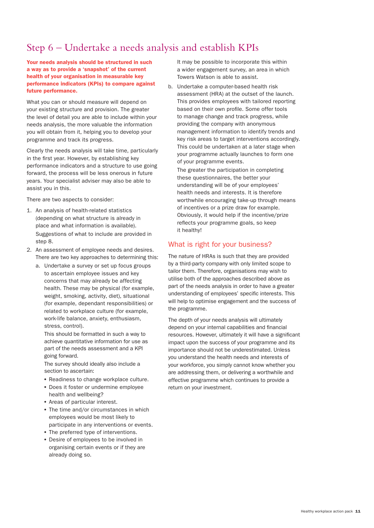## Step 6 – Undertake a needs analysis and establish KPIs

Your needs analysis should be structured in such a way as to provide a 'snapshot' of the current health of your organisation in measurable key performance indicators (KPIs) to compare against future performance.

What you can or should measure will depend on your existing structure and provision. The greater the level of detail you are able to include within your needs analysis, the more valuable the information you will obtain from it, helping you to develop your programme and track its progress.

Clearly the needs analysis will take time, particularly in the first year. However, by establishing key performance indicators and a structure to use going forward, the process will be less onerous in future years. Your specialist adviser may also be able to assist you in this.

There are two aspects to consider:

- 1. An analysis of health-related statistics (depending on what structure is already in place and what information is available). Suggestions of what to include are provided in step 8.
- 2. An assessment of employee needs and desires. There are two key approaches to determining this:
	- a. Undertake a survey or set up focus groups to ascertain employee issues and key concerns that may already be affecting health. These may be physical (for example, weight, smoking, activity, diet), situational (for example, dependant responsibilities) or related to workplace culture (for example, work-life balance, anxiety, enthusiasm, stress, control).

 This should be formatted in such a way to achieve quantitative information for use as part of the needs assessment and a KPI going forward.

 The survey should ideally also include a section to ascertain:

- Readiness to change workplace culture.
- Does it foster or undermine employee health and wellbeing?
- Areas of particular interest.
- The time and/or circumstances in which employees would be most likely to participate in any interventions or events.
- The preferred type of interventions.
- Desire of employees to be involved in organising certain events or if they are already doing so.

 It may be possible to incorporate this within a wider engagement survey, an area in which Towers Watson is able to assist.

b. Undertake a computer-based health risk assessment (HRA) at the outset of the launch. This provides employees with tailored reporting based on their own profile. Some offer tools to manage change and track progress, while providing the company with anonymous management information to identify trends and key risk areas to target interventions accordingly. This could be undertaken at a later stage when your programme actually launches to form one of your programme events.

 The greater the participation in completing these questionnaires, the better your understanding will be of your employees' health needs and interests. It is therefore worthwhile encouraging take-up through means of incentives or a prize draw for example. Obviously, it would help if the incentive/prize reflects your programme goals, so keep it healthy!

#### What is right for your business?

The nature of HRAs is such that they are provided by a third-party company with only limited scope to tailor them. Therefore, organisations may wish to utilise both of the approaches described above as part of the needs analysis in order to have a greater understanding of employees' specific interests. This will help to optimise engagement and the success of the programme.

The depth of your needs analysis will ultimately depend on your internal capabilities and financial resources. However, ultimately it will have a significant impact upon the success of your programme and its importance should not be underestimated. Unless you understand the health needs and interests of your workforce, you simply cannot know whether you are addressing them, or delivering a worthwhile and effective programme which continues to provide a return on your investment.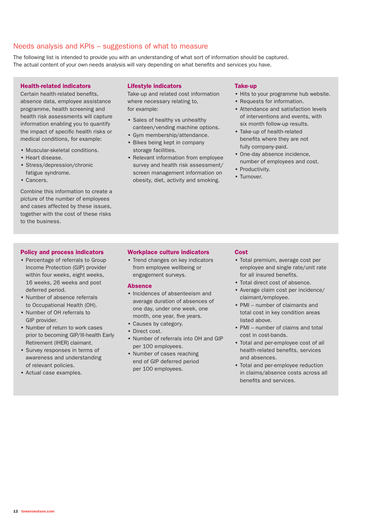#### Needs analysis and KPIs – suggestions of what to measure

The following list is intended to provide you with an understanding of what sort of information should be captured. The actual content of your own needs analysis will vary depending on what benefits and services you have.

#### Health-related indicators

Certain health-related benefits, absence data, employee assistance programme, health screening and health risk assessments will capture information enabling you to quantify the impact of specific health risks or medical conditions, for example:

- Muscular-skeletal conditions.
- Heart disease.
- Stress/depression/chronic fatigue syndrome.
- Cancers.

Combine this information to create a picture of the number of employees and cases affected by these issues, together with the cost of these risks to the business.

#### Policy and process indicators

- Percentage of referrals to Group Income Protection (GIP) provider within four weeks, eight weeks, 16 weeks, 26 weeks and post deferred period.
- Number of absence referrals to Occupational Health (OH).
- Number of OH referrals to GIP provider.
- Number of return to work cases prior to becoming GIP/Ill-health Early Retirement (IHER) claimant.
- Survey responses in terms of awareness and understanding of relevant policies.
- Actual case examples.

#### Lifestyle indicators

Take-up and related cost information where necessary relating to, for example:

- Sales of healthy vs unhealthy canteen/vending machine options.
- Gym membership/attendance.
- Bikes being kept in company storage facilities.
- Relevant information from employee survey and health risk assessment/ screen management information on obesity, diet, activity and smoking.

#### Take-up

- Hits to your programme hub website.
- Requests for information.
- Attendance and satisfaction levels of interventions and events, with six month follow-up results.
- Take-up of health-related benefits where they are not fully company-paid.
- One-day absence incidence, number of employees and cost.
- Productivity.
- Turnover.

#### Workplace culture indicators

• Trend changes on key indicators from employee wellbeing or engagement surveys.

#### Absence

- Incidences of absenteeism and average duration of absences of one day, under one week, one month, one year, five years.
- Causes by category.
- Direct cost.
- Number of referrals into OH and GIP per 100 employees.
- Number of cases reaching end of GIP deferred period per 100 employees.

#### Cost

- Total premium, average cost per employee and single rate/unit rate for all insured benefits.
- Total direct cost of absence.
- Average claim cost per incidence/ claimant/employee.
- PMI number of claimants and total cost in key condition areas listed above.
- PMI number of claims and total cost in cost-bands.
- Total and per-employee cost of all health-related benefits, services and absences.
- Total and per-employee reduction in claims/absence costs across all benefits and services.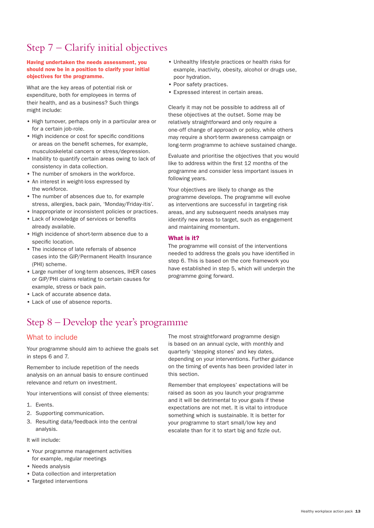## Step 7 – Clarify initial objectives

#### Having undertaken the needs assessment, you should now be in a position to clarify your initial objectives for the programme.

What are the key areas of potential risk or expenditure, both for employees in terms of their health, and as a business? Such things might include:

- High turnover, perhaps only in a particular area or for a certain job-role.
- High incidence or cost for specific conditions or areas on the benefit schemes, for example, musculoskeletal cancers or stress/depression.
- Inability to quantify certain areas owing to lack of consistency in data collection.
- The number of smokers in the workforce.
- An interest in weight-loss expressed by the workforce.
- The number of absences due to, for example stress, allergies, back pain, 'Monday/Friday-itis'.
- Inappropriate or inconsistent policies or practices.
- Lack of knowledge of services or benefits already available.
- High incidence of short-term absence due to a specific location.
- The incidence of late referrals of absence cases into the GIP/Permanent Health Insurance (PHI) scheme.
- Large number of long-term absences, IHER cases or GIP/PHI claims relating to certain causes for example, stress or back pain.
- Lack of accurate absence data.
- Lack of use of absence reports.

## Step 8 – Develop the year's programme

#### What to include

Your programme should aim to achieve the goals set in steps 6 and 7.

Remember to include repetition of the needs analysis on an annual basis to ensure continued relevance and return on investment.

Your interventions will consist of three elements:

- 1. Events.
- 2. Supporting communication.
- 3. Resulting data/feedback into the central analysis.

It will include:

- Your programme management activities for example, regular meetings
- Needs analysis
- Data collection and interpretation
- Targeted interventions
- Unhealthy lifestyle practices or health risks for example, inactivity, obesity, alcohol or drugs use, poor hydration.
- Poor safety practices.
- Expressed interest in certain areas.

Clearly it may not be possible to address all of these objectives at the outset. Some may be relatively straightforward and only require a one-off change of approach or policy, while others may require a short-term awareness campaign or long-term programme to achieve sustained change.

Evaluate and prioritise the objectives that you would like to address within the first 12 months of the programme and consider less important issues in following years.

Your objectives are likely to change as the programme develops. The programme will evolve as interventions are successful in targeting risk areas, and any subsequent needs analyses may identify new areas to target, such as engagement and maintaining momentum.

#### What is it?

The programme will consist of the interventions needed to address the goals you have identified in step 6. This is based on the core framework you have established in step 5, which will underpin the programme going forward.

The most straightforward programme design is based on an annual cycle, with monthly and quarterly 'stepping stones' and key dates, depending on your interventions. Further guidance on the timing of events has been provided later in this section.

Remember that employees' expectations will be raised as soon as you launch your programme and it will be detrimental to your goals if these expectations are not met. It is vital to introduce something which is sustainable. It is better for your programme to start small/low key and escalate than for it to start big and fizzle out.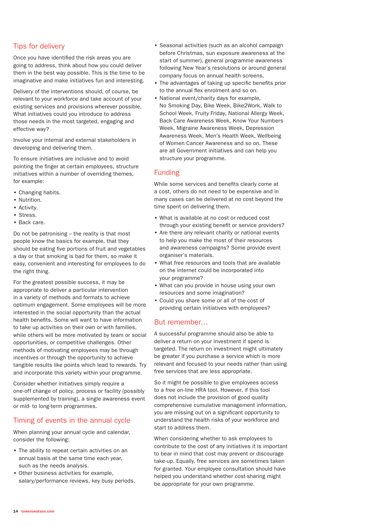#### Tips for delivery

Once you have identified the risk areas you are going to address, think about how you could deliver them in the best way possible. This is the time to be imaginative and make initiatives fun and interesting.

Delivery of the interventions should, of course, be relevant to your workforce and take account of your existing services and provisions wherever possible. What initiatives could you introduce to address those needs in the most targeted, engaging and effective way?

Involve your internal and external stakeholders in developing and delivering them.

To ensure initiatives are inclusive and to avoid pointing the finger at certain employees, structure initiatives within a number of overriding themes, for example:

- Changing habits.
- Nutrition.
- Activity.
- Stress.
- Back care.

Do not be patronising – the reality is that most people know the basics for example, that they should be eating five portions of fruit and vegetables a day or that smoking is bad for them, so make it easy, convenient and interesting for employees to do the right thing.

For the greatest possible success, it may be appropriate to deliver a particular intervention in a variety of methods and formats to achieve optimum engagement. Some employees will be more interested in the social opportunity than the actual health benefits. Some will want to have information to take up activities on their own or with families, while others will be more motivated by team or social opportunities, or competitive challenges. Other methods of motivating employees may be through incentives or through the opportunity to achieve tangible results like points which lead to rewards. Try and incorporate this variety within your programme.

Consider whether initiatives simply require a one-off change of policy, process or facility (possibly supplemented by training), a single awareness event or mid- to long-term programmes.

#### Timing of events in the annual cycle

When planning your annual cycle and calendar, consider the following:

- The ability to repeat certain activities on an annual basis at the same time each year, such as the needs analysis.
- Other business activities for example, salary/performance reviews, key busy periods.
- Seasonal activities (such as an alcohol campaign before Christmas, sun exposure awareness at the start of summer), general programme awareness following New Year's resolutions or around general company focus on annual health screens.
- The advantages of taking up specific benefits prior to the annual flex enrolment and so on.
- National event/charity days for example, No Smoking Day, Bike Week, Bike2Work, Walk to School Week, Fruity Friday, National Allergy Week, Back Care Awareness Week, Know Your Numbers Week, Migraine Awareness Week, Depression Awareness Week, Men's Health Week, Wellbeing of Women Cancer Awareness and so on. These are all Government initiatives and can help you structure your programme.

#### Funding

While some services and benefits clearly come at a cost, others do not need to be expensive and in many cases can be delivered at no cost beyond the time spent on delivering them.

- What is available at no cost or reduced cost through your existing benefit or service providers?
- Are there any relevant charity or national events to help you make the most of their resources and awareness campaigns? Some provide event organiser's materials.
- What free resources and tools that are available on the internet could be incorporated into your programme?
- What can you provide in house using your own resources and some imagination?
- Could you share some or all of the cost of providing certain initiatives with employees?

#### But remember…

A successful programme should also be able to deliver a return on your investment if spend is targeted. The return on investment might ultimately be greater if you purchase a service which is more relevant and focused to your needs rather than using free services that are less appropriate.

So it might be possible to give employees access to a free on-line HRA tool. However, if this tool does not include the provision of good quality comprehensive cumulative management information, you are missing out on a significant opportunity to understand the health risks of your workforce and start to address them.

When considering whether to ask employees to contribute to the cost of any initiatives it is important to bear in mind that cost may prevent or discourage take-up. Equally, free services are sometimes taken for granted. Your employee consultation should have helped you understand whether cost-sharing might be appropriate for your own programme.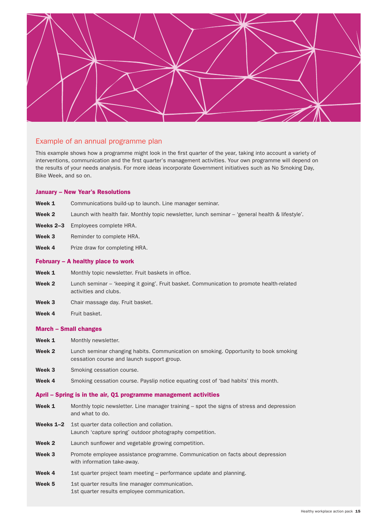

#### Example of an annual programme plan

This example shows how a programme might look in the first quarter of the year, taking into account a variety of interventions, communication and the first quarter's management activities. Your own programme will depend on the results of your needs analysis. For more ideas incorporate Government initiatives such as No Smoking Day, Bike Week, and so on.

#### January – New Year's Resolutions

- Week 1 Communications build-up to launch. Line manager seminar.
- Week 2 Launch with health fair. Monthly topic newsletter, lunch seminar 'general health & lifestyle'.
- Weeks 2-3 Employees complete HRA.
- Week 3 Reminder to complete HRA.
- Week 4 Prize draw for completing HRA.

#### February – A healthy place to work

- Week 1 Monthly topic newsletter. Fruit baskets in office.
- Week 2 Lunch seminar 'keeping it going'. Fruit basket. Communication to promote health-related activities and clubs.
- Week 3 Chair massage day. Fruit basket.
- Week 4 Fruit basket.

#### March – Small changes

- Week 1 Monthly newsletter.
- Week 2 Lunch seminar changing habits. Communication on smoking. Opportunity to book smoking cessation course and launch support group.
- Week 3 Smoking cessation course.
- Week 4 Smoking cessation course. Payslip notice equating cost of 'bad habits' this month.

#### April – Spring is in the air, Q1 programme management activities

- Week 1 Monthly topic newsletter. Line manager training spot the signs of stress and depression and what to do.
- Weeks 1–2 1st quarter data collection and collation. Launch 'capture spring' outdoor photography competition.
- Week 2 Launch sunflower and vegetable growing competition.
- Week 3 Promote employee assistance programme. Communication on facts about depression with information take-away.
- Week 4 1st quarter project team meeting performance update and planning.
- Week 5 1st quarter results line manager communication. 1st quarter results employee communication.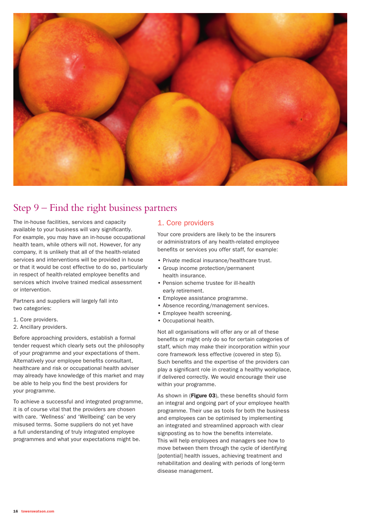

## Step 9 – Find the right business partners

The in-house facilities, services and capacity available to your business will vary significantly. For example, you may have an in-house occupational health team, while others will not. However, for any company, it is unlikely that all of the health-related services and interventions will be provided in house or that it would be cost effective to do so, particularly in respect of health-related employee benefits and services which involve trained medical assessment or intervention.

Partners and suppliers will largely fall into two categories:

- 1. Core providers.
- 2. Ancillary providers.

Before approaching providers, establish a formal tender request which clearly sets out the philosophy of your programme and your expectations of them. Alternatively your employee benefits consultant, healthcare and risk or occupational health adviser may already have knowledge of this market and may be able to help you find the best providers for your programme.

To achieve a successful and integrated programme, it is of course vital that the providers are chosen with care. 'Wellness' and 'Wellbeing' can be very misused terms. Some suppliers do not yet have a full understanding of truly integrated employee programmes and what your expectations might be.

#### 1. Core providers

Your core providers are likely to be the insurers or administrators of any health-related employee benefits or services you offer staff, for example:

- Private medical insurance/healthcare trust.
- Group income protection/permanent health insurance.
- Pension scheme trustee for ill-health early retirement.
- Employee assistance programme.
- Absence recording/management services.
- Employee health screening.
- Occupational health.

Not all organisations will offer any or all of these benefits or might only do so for certain categories of staff, which may make their incorporation within your core framework less effective (covered in step 5). Such benefits and the expertise of the providers can play a significant role in creating a healthy workplace, if delivered correctly. We would encourage their use within your programme.

As shown in (Figure 03), these benefits should form an integral and ongoing part of your employee health programme. Their use as tools for both the business and employees can be optimised by implementing an integrated and streamlined approach with clear signposting as to how the benefits interrelate. This will help employees and managers see how to move between them through the cycle of identifying [potential] health issues, achieving treatment and rehabilitation and dealing with periods of long-term disease management.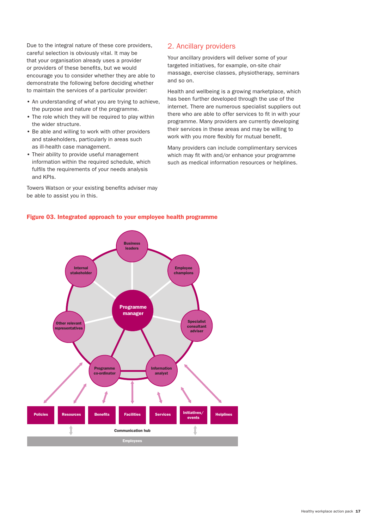Due to the integral nature of these core providers, careful selection is obviously vital. It may be that your organisation already uses a provider or providers of these benefits, but we would encourage you to consider whether they are able to demonstrate the following before deciding whether to maintain the services of a particular provider:

- An understanding of what you are trying to achieve, the purpose and nature of the programme.
- The role which they will be required to play within the wider structure.
- Be able and willing to work with other providers and stakeholders, particularly in areas such as ill-health case management.
- Their ability to provide useful management information within the required schedule, which fulfils the requirements of your needs analysis and KPIs.

Towers Watson or your existing benefits adviser may be able to assist you in this.

#### 2. Ancillary providers

Your ancillary providers will deliver some of your targeted initiatives, for example, on-site chair massage, exercise classes, physiotherapy, seminars and so on.

Health and wellbeing is a growing marketplace, which has been further developed through the use of the internet. There are numerous specialist suppliers out there who are able to offer services to fit in with your programme. Many providers are currently developing their services in these areas and may be willing to work with you more flexibly for mutual benefit.

Many providers can include complimentary services which may fit with and/or enhance your programme such as medical information resources or helplines.



#### Figure 03. Integrated approach to your employee health programme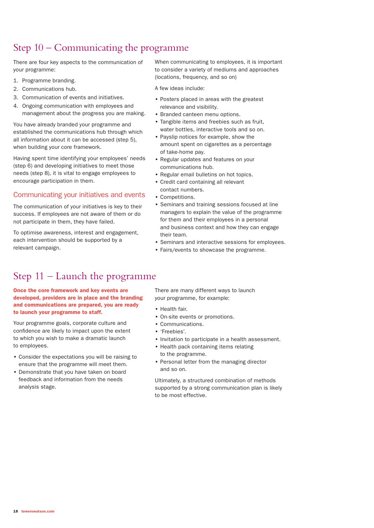## Step 10 – Communicating the programme

There are four key aspects to the communication of your programme:

- 1. Programme branding.
- 2. Communications hub.
- 3. Communication of events and initiatives.
- 4. Ongoing communication with employees and management about the progress you are making.

You have already branded your programme and established the communications hub through which all information about it can be accessed (step 5), when building your core framework.

Having spent time identifying your employees' needs (step 6) and developing initiatives to meet those needs (step 8), it is vital to engage employees to encourage participation in them.

#### Communicating your initiatives and events

The communication of your initiatives is key to their success. If employees are not aware of them or do not participate in them, they have failed.

To optimise awareness, interest and engagement, each intervention should be supported by a relevant campaign.

When communicating to employees, it is important to consider a variety of mediums and approaches (locations, frequency, and so on)

A few ideas include:

- Posters placed in areas with the greatest relevance and visibility.
- Branded canteen menu options.
- Tangible items and freebies such as fruit, water bottles, interactive tools and so on.
- Payslip notices for example, show the amount spent on cigarettes as a percentage of take-home pay.
- Regular updates and features on your communications hub.
- Regular email bulletins on hot topics.
- Credit card containing all relevant contact numbers.
- Competitions.
- Seminars and training sessions focused at line managers to explain the value of the programme for them and their employees in a personal and business context and how they can engage their team.
- Seminars and interactive sessions for employees.
- Fairs/events to showcase the programme.

## Step 11 – Launch the programme

Once the core framework and key events are developed, providers are in place and the branding and communications are prepared, you are ready to launch your programme to staff.

Your programme goals, corporate culture and confidence are likely to impact upon the extent to which you wish to make a dramatic launch to employees.

- Consider the expectations you will be raising to ensure that the programme will meet them.
- Demonstrate that you have taken on board feedback and information from the needs analysis stage.

There are many different ways to launch your programme, for example:

- Health fair.
- On-site events or promotions.
- Communications.
- 'Freebies'.
- Invitation to participate in a health assessment.
- Health pack containing items relating to the programme.
- Personal letter from the managing director and so on.

Ultimately, a structured combination of methods supported by a strong communication plan is likely to be most effective.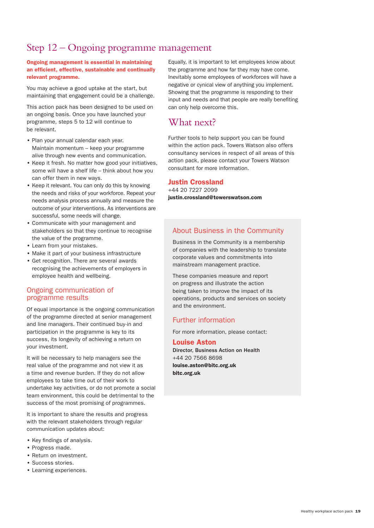## Step 12 – Ongoing programme management

#### Ongoing management is essential in maintaining an efficient, effective, sustainable and continually relevant programme.

You may achieve a good uptake at the start, but maintaining that engagement could be a challenge.

This action pack has been designed to be used on an ongoing basis. Once you have launched your programme, steps 5 to 12 will continue to be relevant.

- Plan your annual calendar each year. Maintain momentum – keep your programme alive through new events and communication.
- Keep it fresh. No matter how good your initiatives, some will have a shelf life – think about how you can offer them in new ways.
- Keep it relevant. You can only do this by knowing the needs and risks of your workforce. Repeat your needs analysis process annually and measure the outcome of your interventions. As interventions are successful, some needs will change.
- Communicate with your management and stakeholders so that they continue to recognise the value of the programme.
- Learn from your mistakes.
- Make it part of your business infrastructure
- Get recognition. There are several awards recognising the achievements of employers in employee health and wellbeing.

#### Ongoing communication of programme results

Of equal importance is the ongoing communication of the programme directed at senior management and line managers. Their continued buy-in and participation in the programme is key to its success, its longevity of achieving a return on your investment.

It will be necessary to help managers see the real value of the programme and not view it as a time and revenue burden. If they do not allow employees to take time out of their work to undertake key activities, or do not promote a social team environment, this could be detrimental to the success of the most promising of programmes.

It is important to share the results and progress with the relevant stakeholders through regular communication updates about:

- Key findings of analysis.
- Progress made.
- Return on investment.
- Success stories.
- Learning experiences.

Equally, it is important to let employees know about the programme and how far they may have come. Inevitably some employees of workforces will have a negative or cynical view of anything you implement. Showing that the programme is responding to their input and needs and that people are really benefiting can only help overcome this.

### What next?

Further tools to help support you can be found within the action pack. Towers Watson also offers consultancy services in respect of all areas of this action pack, please contact your Towers Watson consultant for more information.

#### Justin Crossland

+44 20 7227 2099 justin.crossland@towerswatson.com

#### About Business in the Community

Business in the Community is a membership of companies with the leadership to translate corporate values and commitments into mainstream management practice.

These companies measure and report on progress and illustrate the action being taken to improve the impact of its operations, products and services on society and the environment.

#### Further information

For more information, please contact:

## Louise Aston

Director, Business Action on Health +44 20 7566 8698 louise.aston@bitc.org.uk bitc.org.uk